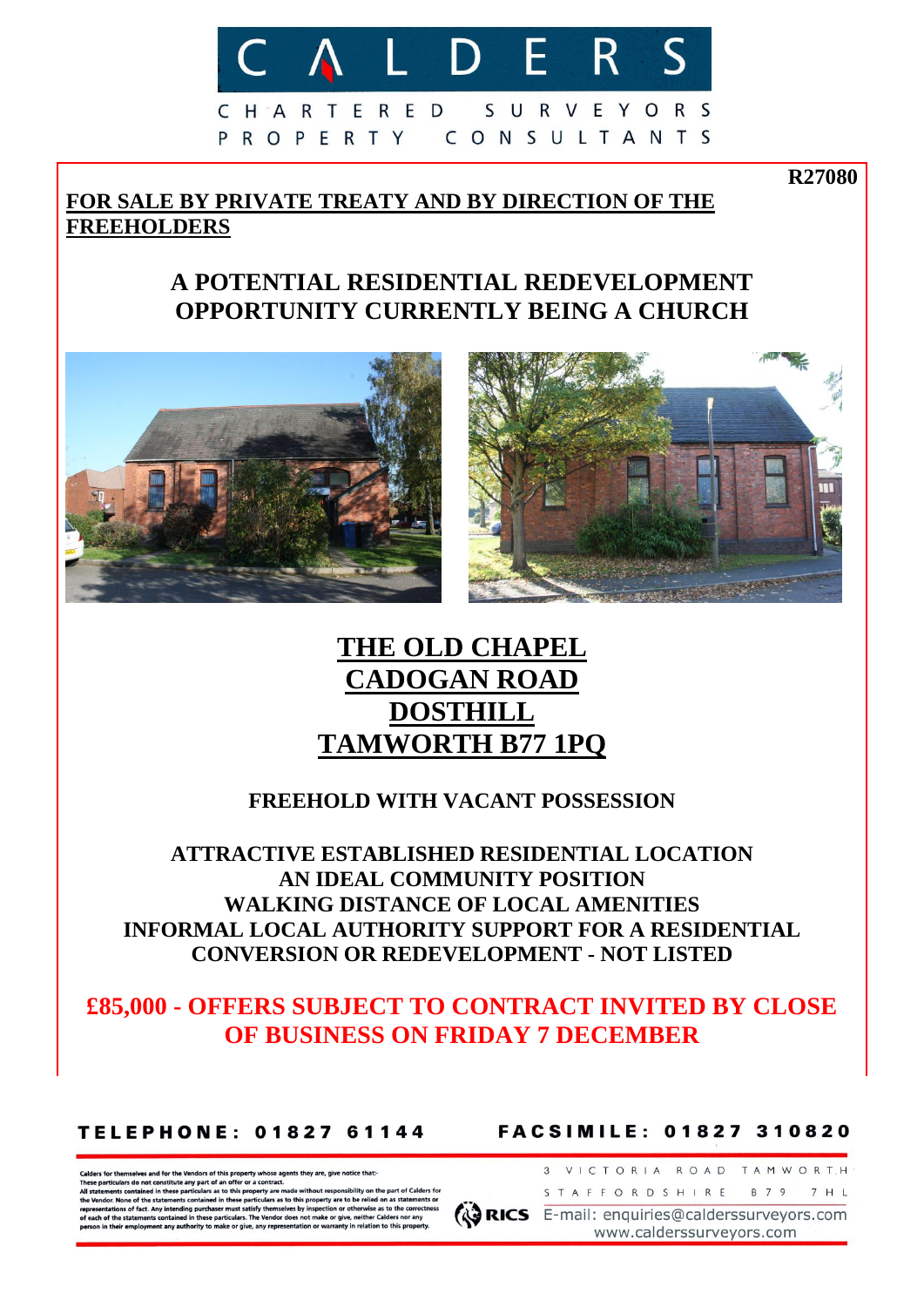

CHARTERED SURVEYORS P R O P E R T Y CONSULTANTS

# **FOR SALE BY PRIVATE TREATY AND BY DIRECTION OF THE FREEHOLDERS**

# **A POTENTIAL RESIDENTIAL REDEVELOPMENT OPPORTUNITY CURRENTLY BEING A CHURCH**



# **THE OLD CHAPEL CADOGAN ROAD DOSTHILL TAMWORTH B77 1PQ**

## **FREEHOLD WITH VACANT POSSESSION**

**ATTRACTIVE ESTABLISHED RESIDENTIAL LOCATION AN IDEAL COMMUNITY POSITION WALKING DISTANCE OF LOCAL AMENITIES INFORMAL LOCAL AUTHORITY SUPPORT FOR A RESIDENTIAL CONVERSION OR REDEVELOPMENT - NOT LISTED**

# **£85,000 - OFFERS SUBJECT TO CONTRACT INVITED BY CLOSE OF BUSINESS ON FRIDAY 7 DECEMBER**

## **TELEPHONE: 01827 61144**

**FACSIMILE: 01827 310820** 

ers for themselves and for the Vendors of this property whose agents they are, give notice that: e particulars do not constitute any part of an of

nts contained in these part ulars as to this property are n he Vendor. None of the statements contained in these particulars as to this property are to be rel entations of fact. Any intending purchaser must satisfy themselves by inspect on or otherwise as to the o of each of the statements contained in these particulars. The Vendor does not make or give, neither Ca on in their employment any authority to make or give, any representation or warranty in re

STAFFORDSHIRE B79 7HL **ARICS** E-mail: enquiries@calderssurveyors.com

3 VICTORIA ROAD TAMWORT.H

**R27080**

www.calderssurveyors.com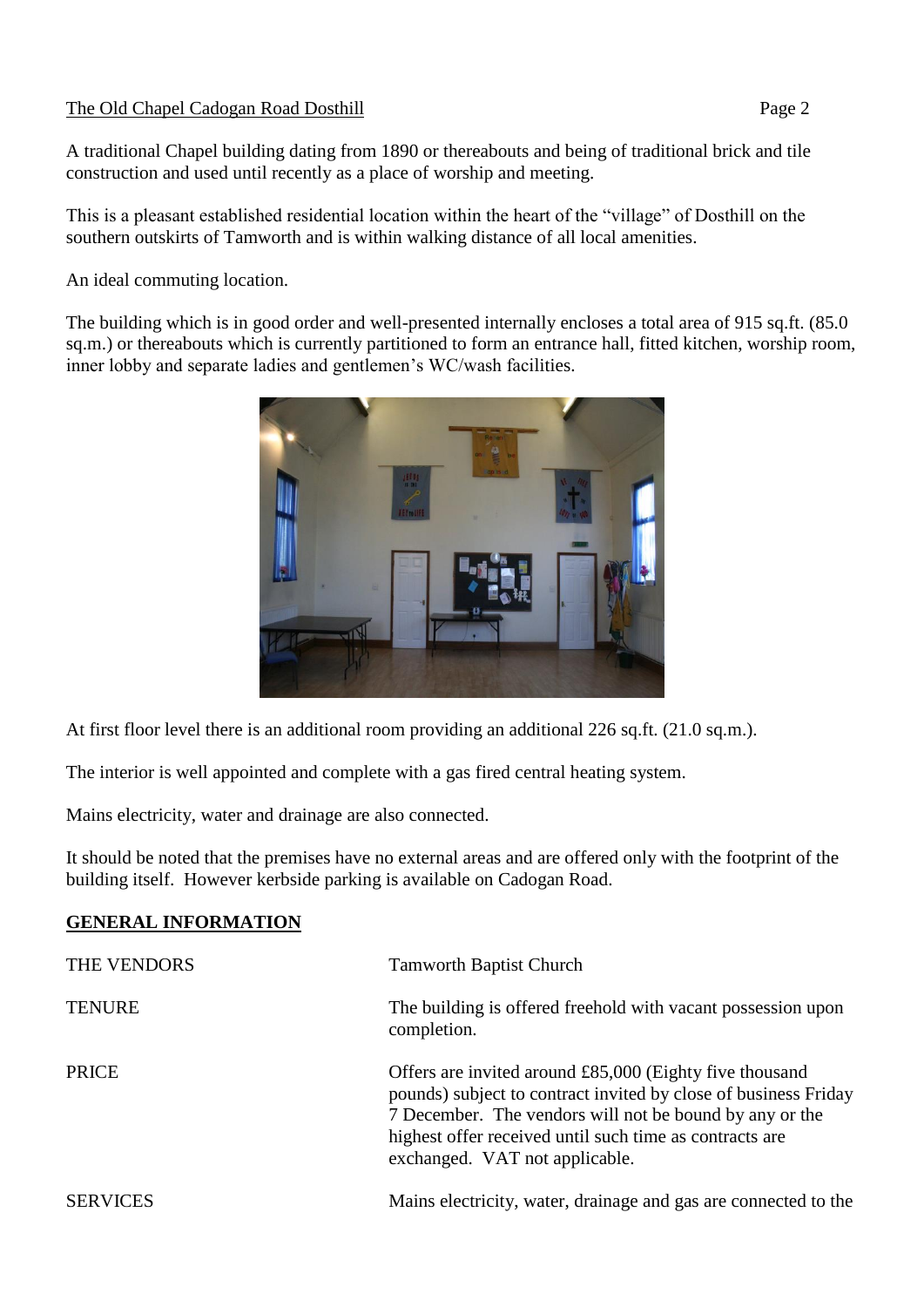## The Old Chapel Cadogan Road Dosthill Page 2

A traditional Chapel building dating from 1890 or thereabouts and being of traditional brick and tile construction and used until recently as a place of worship and meeting.

This is a pleasant established residential location within the heart of the "village" of Dosthill on the southern outskirts of Tamworth and is within walking distance of all local amenities.

An ideal commuting location.

The building which is in good order and well-presented internally encloses a total area of 915 sq.ft. (85.0 sq.m.) or thereabouts which is currently partitioned to form an entrance hall, fitted kitchen, worship room, inner lobby and separate ladies and gentlemen's WC/wash facilities.



At first floor level there is an additional room providing an additional 226 sq.ft. (21.0 sq.m.).

The interior is well appointed and complete with a gas fired central heating system.

Mains electricity, water and drainage are also connected.

It should be noted that the premises have no external areas and are offered only with the footprint of the building itself. However kerbside parking is available on Cadogan Road.

## **GENERAL INFORMATION**

| THE VENDORS     | <b>Tamworth Baptist Church</b>                                                                                                                                                                                                                                                     |
|-----------------|------------------------------------------------------------------------------------------------------------------------------------------------------------------------------------------------------------------------------------------------------------------------------------|
| <b>TENURE</b>   | The building is offered freehold with vacant possession upon<br>completion.                                                                                                                                                                                                        |
| <b>PRICE</b>    | Offers are invited around £85,000 (Eighty five thousand<br>pounds) subject to contract invited by close of business Friday<br>7 December. The vendors will not be bound by any or the<br>highest offer received until such time as contracts are<br>exchanged. VAT not applicable. |
| <b>SERVICES</b> | Mains electricity, water, drainage and gas are connected to the                                                                                                                                                                                                                    |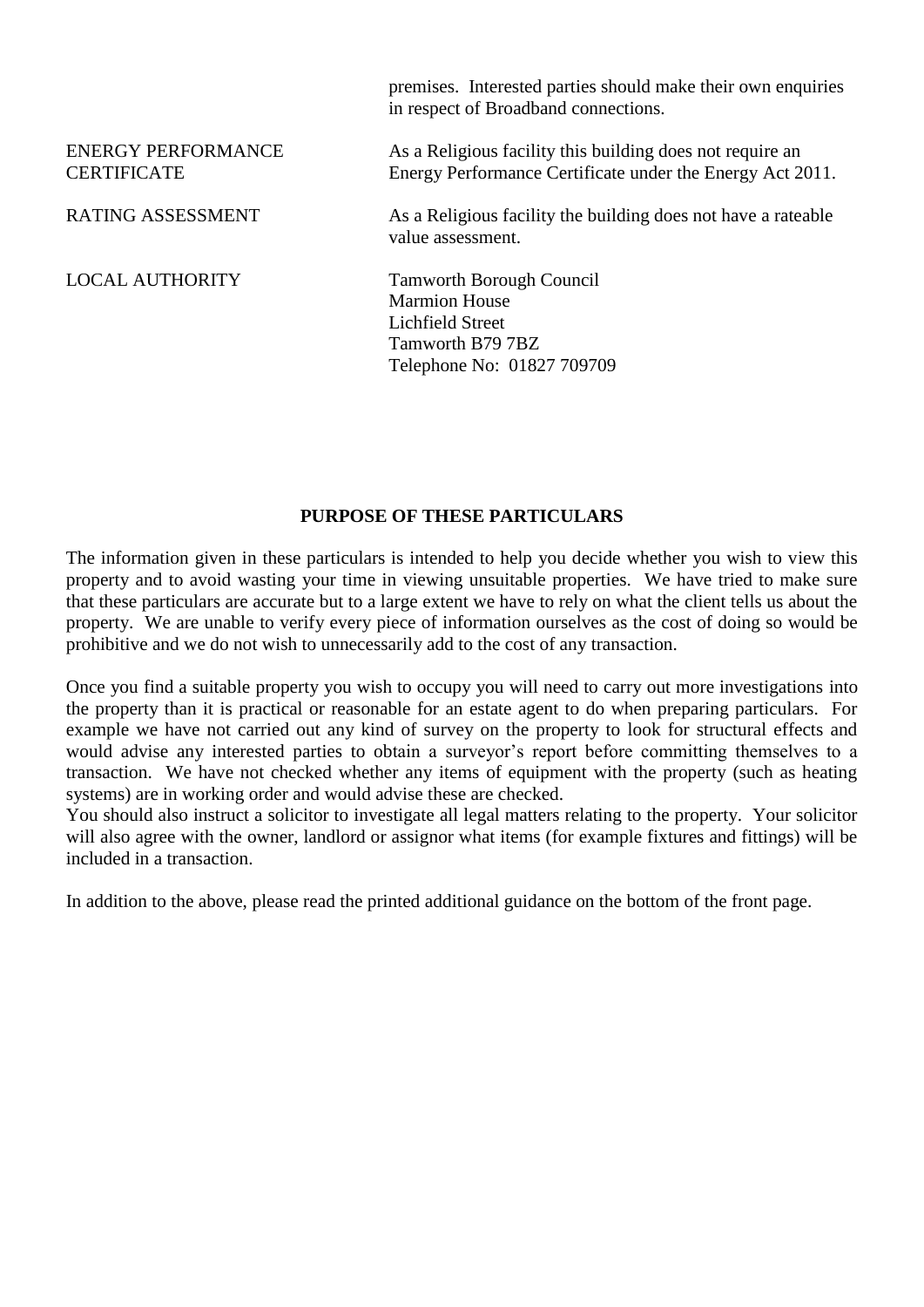|                                                 | premises. Interested parties should make their own enquiries<br>in respect of Broadband connections.                          |
|-------------------------------------------------|-------------------------------------------------------------------------------------------------------------------------------|
| <b>ENERGY PERFORMANCE</b><br><b>CERTIFICATE</b> | As a Religious facility this building does not require an<br>Energy Performance Certificate under the Energy Act 2011.        |
| <b>RATING ASSESSMENT</b>                        | As a Religious facility the building does not have a rateable<br>value assessment.                                            |
| <b>LOCAL AUTHORITY</b>                          | <b>Tamworth Borough Council</b><br><b>Marmion House</b><br>Lichfield Street<br>Tamworth B79 7BZ<br>Telephone No: 01827 709709 |

## **PURPOSE OF THESE PARTICULARS**

The information given in these particulars is intended to help you decide whether you wish to view this property and to avoid wasting your time in viewing unsuitable properties. We have tried to make sure that these particulars are accurate but to a large extent we have to rely on what the client tells us about the property. We are unable to verify every piece of information ourselves as the cost of doing so would be prohibitive and we do not wish to unnecessarily add to the cost of any transaction.

Once you find a suitable property you wish to occupy you will need to carry out more investigations into the property than it is practical or reasonable for an estate agent to do when preparing particulars. For example we have not carried out any kind of survey on the property to look for structural effects and would advise any interested parties to obtain a surveyor's report before committing themselves to a transaction. We have not checked whether any items of equipment with the property (such as heating systems) are in working order and would advise these are checked.

You should also instruct a solicitor to investigate all legal matters relating to the property. Your solicitor will also agree with the owner, landlord or assignor what items (for example fixtures and fittings) will be included in a transaction.

In addition to the above, please read the printed additional guidance on the bottom of the front page.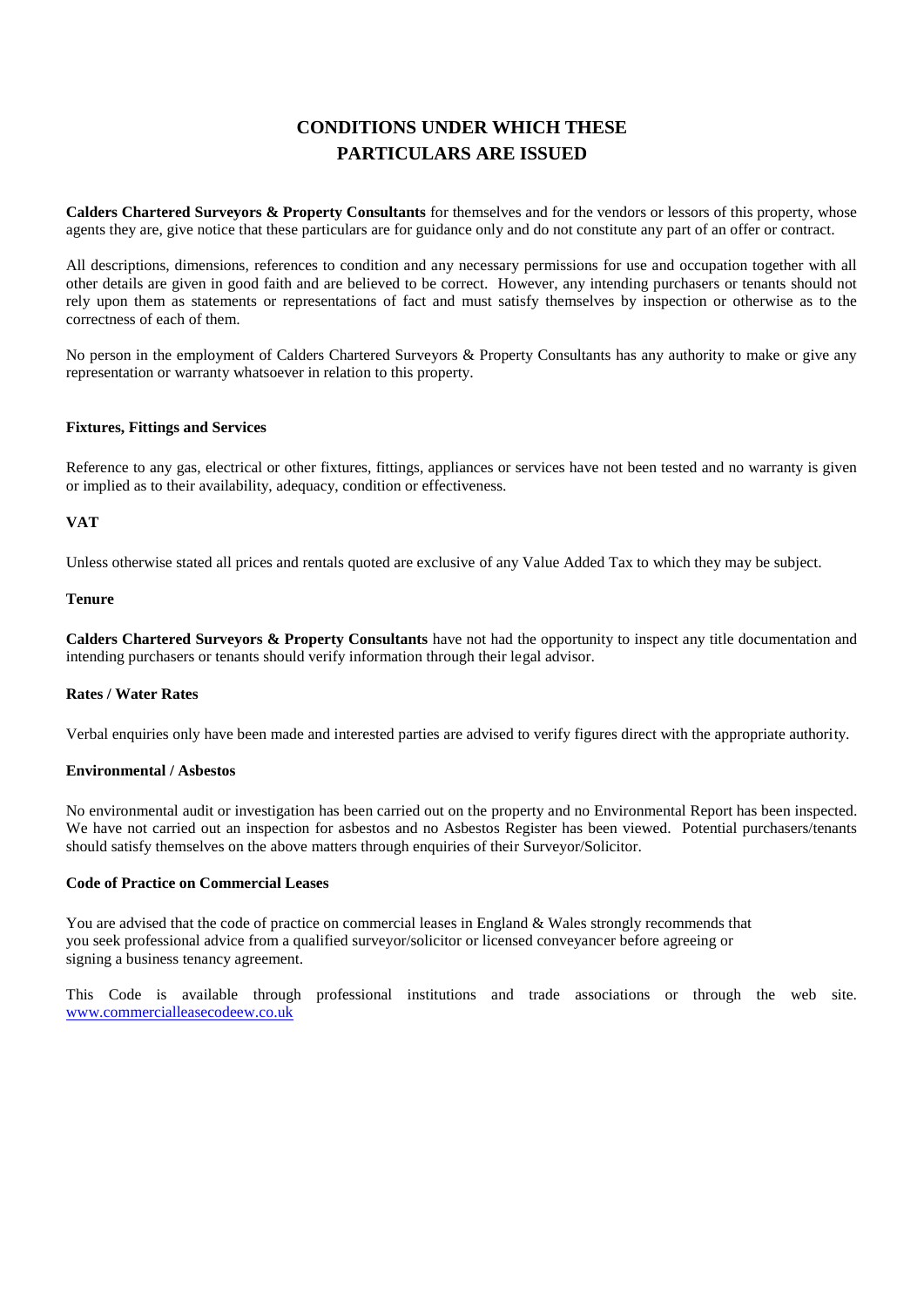## **CONDITIONS UNDER WHICH THESE PARTICULARS ARE ISSUED**

**Calders Chartered Surveyors & Property Consultants** for themselves and for the vendors or lessors of this property, whose agents they are, give notice that these particulars are for guidance only and do not constitute any part of an offer or contract.

All descriptions, dimensions, references to condition and any necessary permissions for use and occupation together with all other details are given in good faith and are believed to be correct. However, any intending purchasers or tenants should not rely upon them as statements or representations of fact and must satisfy themselves by inspection or otherwise as to the correctness of each of them.

No person in the employment of Calders Chartered Surveyors & Property Consultants has any authority to make or give any representation or warranty whatsoever in relation to this property.

### **Fixtures, Fittings and Services**

Reference to any gas, electrical or other fixtures, fittings, appliances or services have not been tested and no warranty is given or implied as to their availability, adequacy, condition or effectiveness.

### **VAT**

Unless otherwise stated all prices and rentals quoted are exclusive of any Value Added Tax to which they may be subject.

#### **Tenure**

**Calders Chartered Surveyors & Property Consultants** have not had the opportunity to inspect any title documentation and intending purchasers or tenants should verify information through their legal advisor.

### **Rates / Water Rates**

Verbal enquiries only have been made and interested parties are advised to verify figures direct with the appropriate authority.

### **Environmental / Asbestos**

No environmental audit or investigation has been carried out on the property and no Environmental Report has been inspected. We have not carried out an inspection for asbestos and no Asbestos Register has been viewed. Potential purchasers/tenants should satisfy themselves on the above matters through enquiries of their Surveyor/Solicitor.

### **Code of Practice on Commercial Leases**

You are advised that the code of practice on commercial leases in England & Wales strongly recommends that you seek professional advice from a qualified surveyor/solicitor or licensed conveyancer before agreeing or signing a business tenancy agreement.

This Code is available through professional institutions and trade associations or through the web site. [www.commercialleasecodeew.co.uk](http://www.commercialleasecodeew.co.uk/)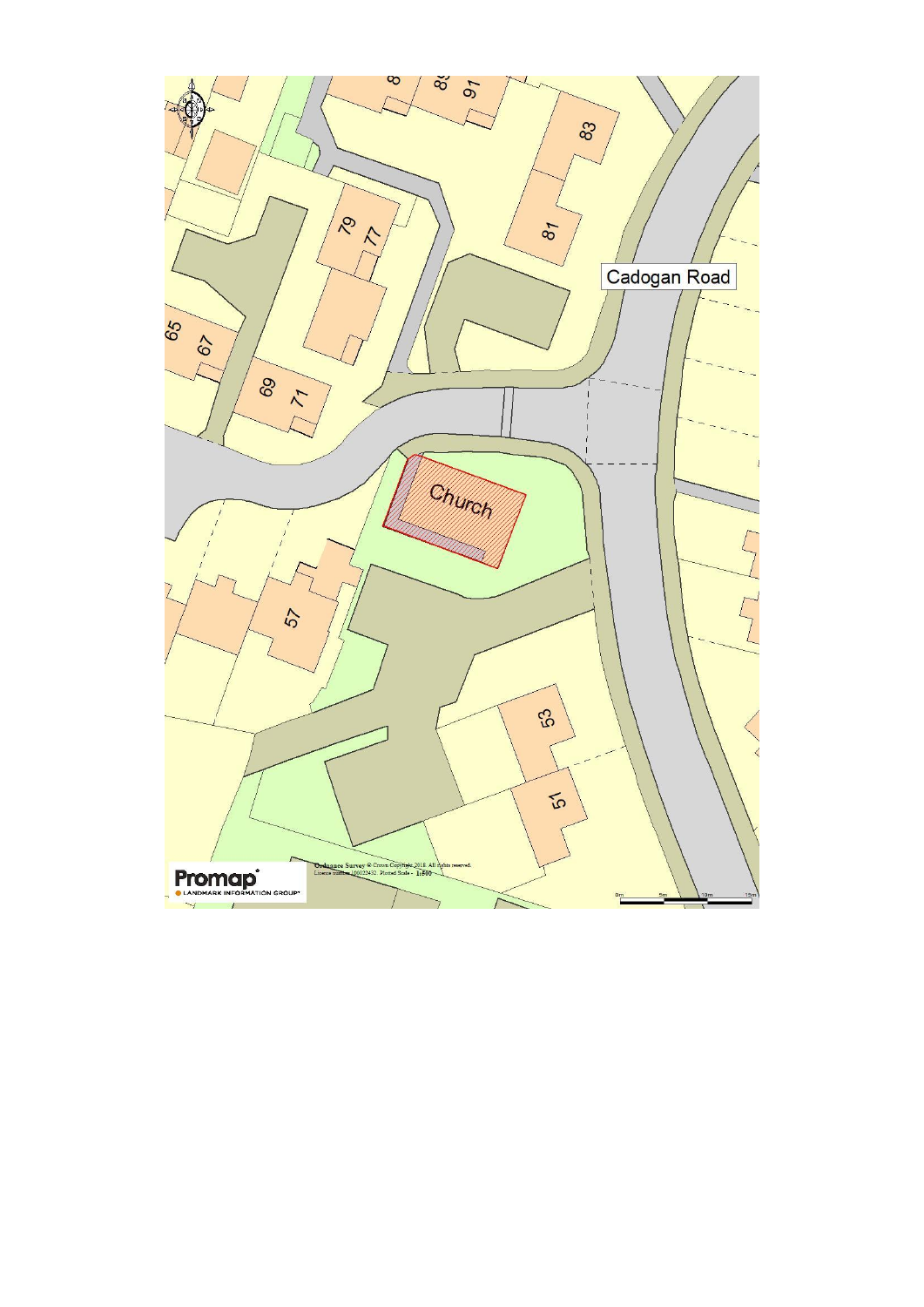